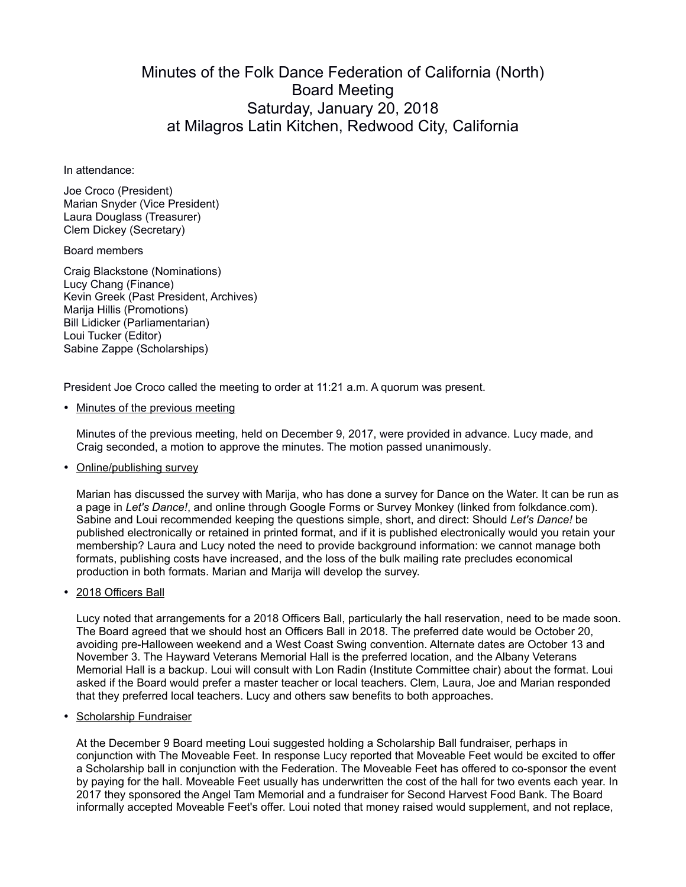## Minutes of the Folk Dance Federation of California (North) Board Meeting Saturday, January 20, 2018 at Milagros Latin Kitchen, Redwood City, California

In attendance:

Joe Croco (President) Marian Snyder (Vice President) Laura Douglass (Treasurer) Clem Dickey (Secretary)

## Board members

Craig Blackstone (Nominations) Lucy Chang (Finance) Kevin Greek (Past President, Archives) Marija Hillis (Promotions) Bill Lidicker (Parliamentarian) Loui Tucker (Editor) Sabine Zappe (Scholarships)

President Joe Croco called the meeting to order at 11:21 a.m. A quorum was present.

• Minutes of the previous meeting

Minutes of the previous meeting, held on December 9, 2017, were provided in advance. Lucy made, and Craig seconded, a motion to approve the minutes. The motion passed unanimously.

• Online/publishing survey

Marian has discussed the survey with Marija, who has done a survey for Dance on the Water. It can be run as a page in *Let's Dance!*, and online through Google Forms or Survey Monkey (linked from folkdance.com). Sabine and Loui recommended keeping the questions simple, short, and direct: Should *Let's Dance!* be published electronically or retained in printed format, and if it is published electronically would you retain your membership? Laura and Lucy noted the need to provide background information: we cannot manage both formats, publishing costs have increased, and the loss of the bulk mailing rate precludes economical production in both formats. Marian and Marija will develop the survey.

• 2018 Officers Ball

Lucy noted that arrangements for a 2018 Officers Ball, particularly the hall reservation, need to be made soon. The Board agreed that we should host an Officers Ball in 2018. The preferred date would be October 20, avoiding pre-Halloween weekend and a West Coast Swing convention. Alternate dates are October 13 and November 3. The Hayward Veterans Memorial Hall is the preferred location, and the Albany Veterans Memorial Hall is a backup. Loui will consult with Lon Radin (Institute Committee chair) about the format. Loui asked if the Board would prefer a master teacher or local teachers. Clem, Laura, Joe and Marian responded that they preferred local teachers. Lucy and others saw benefits to both approaches.

• Scholarship Fundraiser

At the December 9 Board meeting Loui suggested holding a Scholarship Ball fundraiser, perhaps in conjunction with The Moveable Feet. In response Lucy reported that Moveable Feet would be excited to offer a Scholarship ball in conjunction with the Federation. The Moveable Feet has offered to co-sponsor the event by paying for the hall. Moveable Feet usually has underwritten the cost of the hall for two events each year. In 2017 they sponsored the Angel Tam Memorial and a fundraiser for Second Harvest Food Bank. The Board informally accepted Moveable Feet's offer. Loui noted that money raised would supplement, and not replace,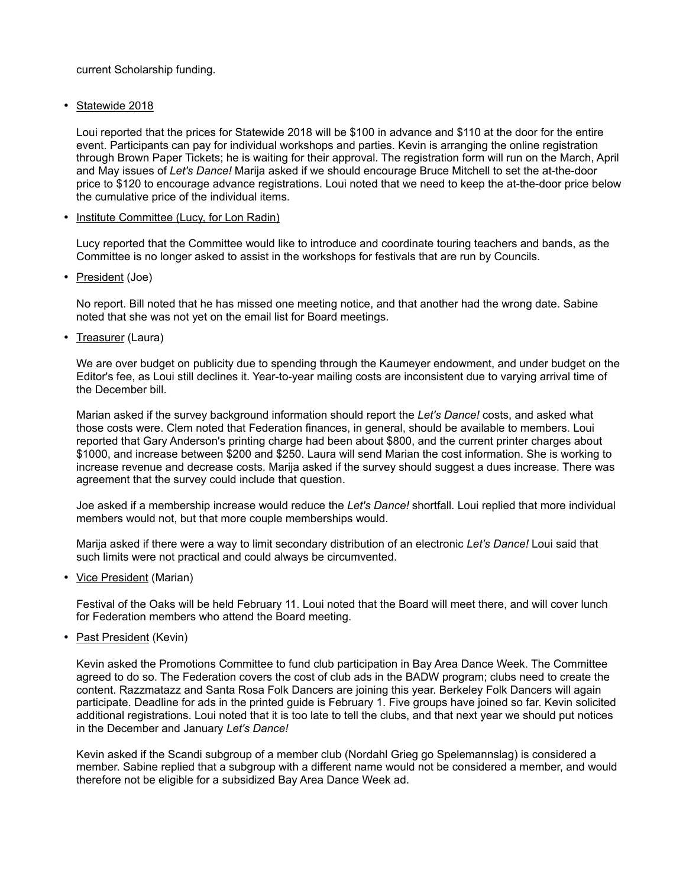current Scholarship funding.

• Statewide 2018

Loui reported that the prices for Statewide 2018 will be \$100 in advance and \$110 at the door for the entire event. Participants can pay for individual workshops and parties. Kevin is arranging the online registration through Brown Paper Tickets; he is waiting for their approval. The registration form will run on the March, April and May issues of *Let's Dance!* Marija asked if we should encourage Bruce Mitchell to set the at-the-door price to \$120 to encourage advance registrations. Loui noted that we need to keep the at-the-door price below the cumulative price of the individual items.

• Institute Committee (Lucy, for Lon Radin)

Lucy reported that the Committee would like to introduce and coordinate touring teachers and bands, as the Committee is no longer asked to assist in the workshops for festivals that are run by Councils.

• President (Joe)

No report. Bill noted that he has missed one meeting notice, and that another had the wrong date. Sabine noted that she was not yet on the email list for Board meetings.

• Treasurer (Laura)

We are over budget on publicity due to spending through the Kaumeyer endowment, and under budget on the Editor's fee, as Loui still declines it. Year-to-year mailing costs are inconsistent due to varying arrival time of the December bill.

Marian asked if the survey background information should report the *Let's Dance!* costs, and asked what those costs were. Clem noted that Federation finances, in general, should be available to members. Loui reported that Gary Anderson's printing charge had been about \$800, and the current printer charges about \$1000, and increase between \$200 and \$250. Laura will send Marian the cost information. She is working to increase revenue and decrease costs. Marija asked if the survey should suggest a dues increase. There was agreement that the survey could include that question.

Joe asked if a membership increase would reduce the *Let's Dance!* shortfall. Loui replied that more individual members would not, but that more couple memberships would.

Marija asked if there were a way to limit secondary distribution of an electronic *Let's Dance!* Loui said that such limits were not practical and could always be circumvented.

• Vice President (Marian)

Festival of the Oaks will be held February 11. Loui noted that the Board will meet there, and will cover lunch for Federation members who attend the Board meeting.

• Past President (Kevin)

Kevin asked the Promotions Committee to fund club participation in Bay Area Dance Week. The Committee agreed to do so. The Federation covers the cost of club ads in the BADW program; clubs need to create the content. Razzmatazz and Santa Rosa Folk Dancers are joining this year. Berkeley Folk Dancers will again participate. Deadline for ads in the printed guide is February 1. Five groups have joined so far. Kevin solicited additional registrations. Loui noted that it is too late to tell the clubs, and that next year we should put notices in the December and January *Let's Dance!*

Kevin asked if the Scandi subgroup of a member club (Nordahl Grieg go Spelemannslag) is considered a member. Sabine replied that a subgroup with a different name would not be considered a member, and would therefore not be eligible for a subsidized Bay Area Dance Week ad.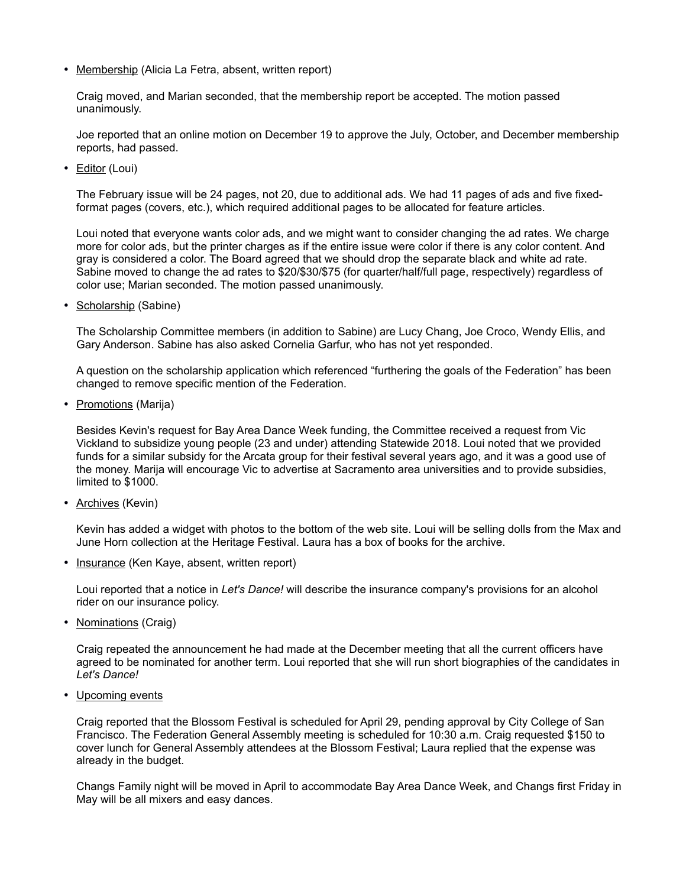• Membership (Alicia La Fetra, absent, written report)

Craig moved, and Marian seconded, that the membership report be accepted. The motion passed unanimously.

Joe reported that an online motion on December 19 to approve the July, October, and December membership reports, had passed.

• Editor (Loui)

The February issue will be 24 pages, not 20, due to additional ads. We had 11 pages of ads and five fixedformat pages (covers, etc.), which required additional pages to be allocated for feature articles.

Loui noted that everyone wants color ads, and we might want to consider changing the ad rates. We charge more for color ads, but the printer charges as if the entire issue were color if there is any color content. And gray is considered a color. The Board agreed that we should drop the separate black and white ad rate. Sabine moved to change the ad rates to \$20/\$30/\$75 (for quarter/half/full page, respectively) regardless of color use; Marian seconded. The motion passed unanimously.

• Scholarship (Sabine)

The Scholarship Committee members (in addition to Sabine) are Lucy Chang, Joe Croco, Wendy Ellis, and Gary Anderson. Sabine has also asked Cornelia Garfur, who has not yet responded.

A question on the scholarship application which referenced "furthering the goals of the Federation" has been changed to remove specific mention of the Federation.

• Promotions (Marija)

Besides Kevin's request for Bay Area Dance Week funding, the Committee received a request from Vic Vickland to subsidize young people (23 and under) attending Statewide 2018. Loui noted that we provided funds for a similar subsidy for the Arcata group for their festival several years ago, and it was a good use of the money. Marija will encourage Vic to advertise at Sacramento area universities and to provide subsidies, limited to \$1000.

• Archives (Kevin)

Kevin has added a widget with photos to the bottom of the web site. Loui will be selling dolls from the Max and June Horn collection at the Heritage Festival. Laura has a box of books for the archive.

• Insurance (Ken Kaye, absent, written report)

Loui reported that a notice in *Let's Dance!* will describe the insurance company's provisions for an alcohol rider on our insurance policy.

• Nominations (Craig)

Craig repeated the announcement he had made at the December meeting that all the current officers have agreed to be nominated for another term. Loui reported that she will run short biographies of the candidates in *Let's Dance!*

• Upcoming events

Craig reported that the Blossom Festival is scheduled for April 29, pending approval by City College of San Francisco. The Federation General Assembly meeting is scheduled for 10:30 a.m. Craig requested \$150 to cover lunch for General Assembly attendees at the Blossom Festival; Laura replied that the expense was already in the budget.

Changs Family night will be moved in April to accommodate Bay Area Dance Week, and Changs first Friday in May will be all mixers and easy dances.